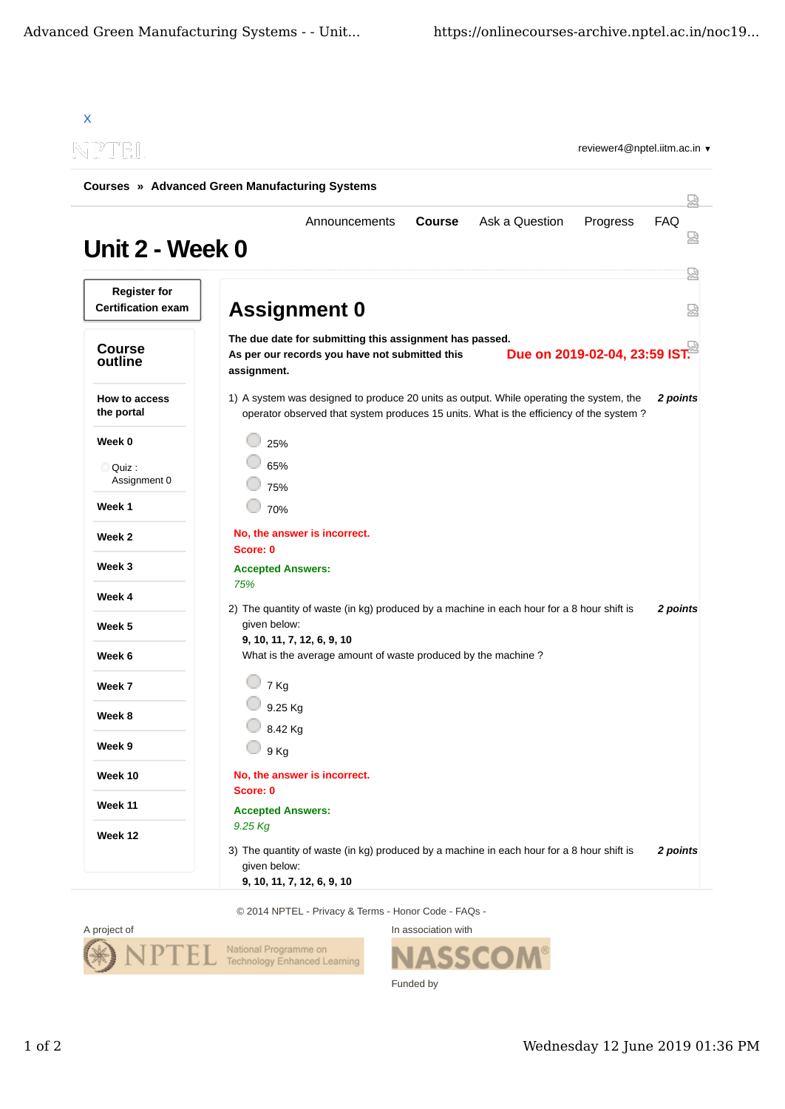| NPTEL                                            |                                                                                                                                                                                    |                 |
|--------------------------------------------------|------------------------------------------------------------------------------------------------------------------------------------------------------------------------------------|-----------------|
|                                                  | <b>Courses » Advanced Green Manufacturing Systems</b>                                                                                                                              | 닜               |
| Unit 2 - Week 0                                  | <b>Course</b><br>Ask a Question<br>Progress<br>Announcements                                                                                                                       | <b>FAQ</b><br>₩ |
| <b>Register for</b><br><b>Certification exam</b> | <b>Assignment 0</b>                                                                                                                                                                | 요<br>덣          |
|                                                  |                                                                                                                                                                                    |                 |
| <b>Course</b><br>outline                         | The due date for submitting this assignment has passed.<br>Due on 2019-02-04, 23:59 IST.<br>As per our records you have not submitted this<br>assignment.                          |                 |
| How to access<br>the portal                      | 1) A system was designed to produce 20 units as output. While operating the system, the<br>operator observed that system produces 15 units. What is the efficiency of the system ? | 2 points        |
| Week 0                                           | 25%                                                                                                                                                                                |                 |
| Quiz:<br>Assignment 0                            | 65%<br>75%                                                                                                                                                                         |                 |
| Week 1                                           | 70%                                                                                                                                                                                |                 |
| Week 2                                           | No, the answer is incorrect.<br>Score: 0                                                                                                                                           |                 |
| Week 3                                           | <b>Accepted Answers:</b>                                                                                                                                                           |                 |
| Week 4                                           | 75%                                                                                                                                                                                |                 |
| Week 5                                           | 2) The quantity of waste (in kg) produced by a machine in each hour for a 8 hour shift is<br>given below:                                                                          | 2 points        |
| Week 6                                           | 9, 10, 11, 7, 12, 6, 9, 10<br>What is the average amount of waste produced by the machine?                                                                                         |                 |
| Week 7                                           | 7 Kg                                                                                                                                                                               |                 |
| Week 8                                           | 9.25 Kg                                                                                                                                                                            |                 |
| Week 9                                           | 8.42 Kg<br>9 Kg                                                                                                                                                                    |                 |
| Week 10                                          | No, the answer is incorrect.                                                                                                                                                       |                 |
| Week 11                                          | Score: 0                                                                                                                                                                           |                 |
|                                                  | <b>Accepted Answers:</b><br>9.25 Kg                                                                                                                                                |                 |
| Week 12                                          | 3) The quantity of waste (in kg) produced by a machine in each hour for a 8 hour shift is<br>given below:                                                                          | 2 points        |

© 2014 NPTEL - Privacy & Terms - Honor Code - FAQs -